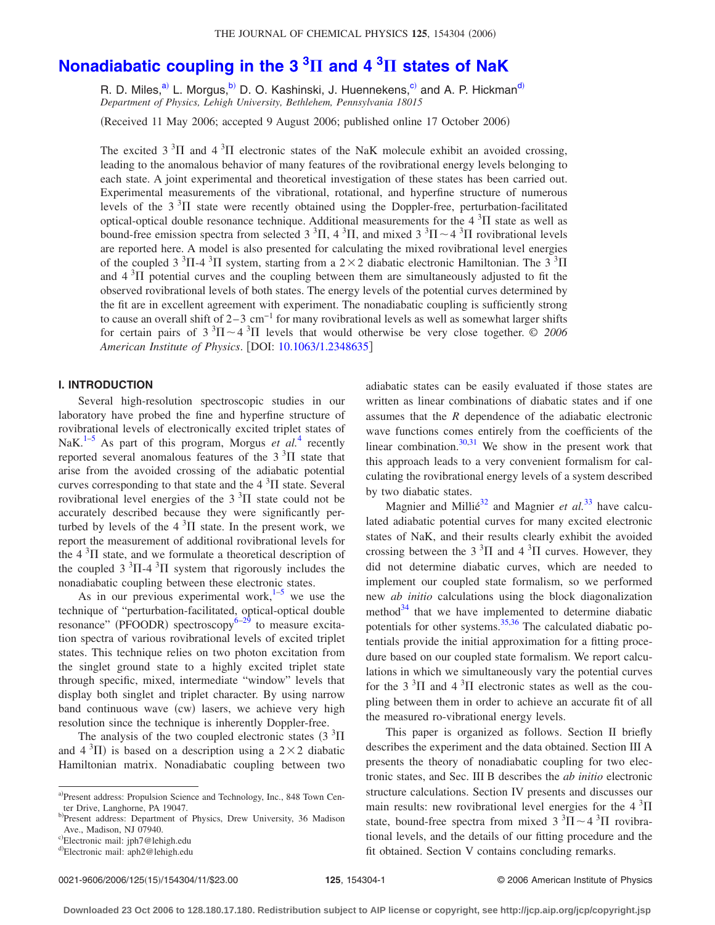# **[Nonadiabatic coupling in the 3](http://dx.doi.org/10.1063/1.2348635) <sup>3</sup> and 4 <sup>3</sup> states of NaK**

R. D. Miles,<sup>a)</sup> L. Morgus,<sup>b)</sup> D. O. Kashinski, J. Huennekens,<sup>c)</sup> a[nd](#page-0-3) A. P. Hickman<sup>d)</sup> *Department of Physics, Lehigh University, Bethlehem, Pennsylvania 18015*

(Received 11 May 2006; accepted 9 August 2006; published online 17 October 2006)

The excited 3<sup>3</sup> $\Pi$  and 4<sup>3</sup> $\Pi$  electronic states of the NaK molecule exhibit an avoided crossing, leading to the anomalous behavior of many features of the rovibrational energy levels belonging to each state. A joint experimental and theoretical investigation of these states has been carried out. Experimental measurements of the vibrational, rotational, and hyperfine structure of numerous levels of the  $3<sup>3</sup>\Pi$  state were recently obtained using the Doppler-free, perturbation-facilitated optical-optical double resonance technique. Additional measurements for the  $4\,{}^{3}\Pi$  state as well as bound-free emission spectra from selected 3<sup>3</sup>H, 4<sup>3</sup>H, and mixed 3<sup>3</sup>H ~ 4<sup>3</sup>H rovibrational levels are reported here. A model is also presented for calculating the mixed rovibrational level energies of the coupled  $3 \text{ }^{3}\Pi$ -4  $\text{ }^{3}\Pi$  system, starting from a 2  $\times$  2 diabatic electronic Hamiltonian. The 3  $\text{ }^{3}\Pi$ and  $4<sup>3</sup>\Pi$  potential curves and the coupling between them are simultaneously adjusted to fit the observed rovibrational levels of both states. The energy levels of the potential curves determined by the fit are in excellent agreement with experiment. The nonadiabatic coupling is sufficiently strong to cause an overall shift of  $2-3$  cm<sup>-1</sup> for many rovibrational levels as well as somewhat larger shifts for certain pairs of  $3 \text{ }^{3}\text{H} \sim 4 \text{ }^{3}\text{H}$  levels that would otherwise be very close together. © 2006 *American Institute of Physics*. DOI: [10.1063/1.2348635](http://dx.doi.org/10.1063/1.2348635)

# **I. INTRODUCTION**

Several high-resolution spectroscopic studies in our laboratory have probed the fine and hyperfine structure of rovibrational levels of electronically excited triplet states of NaK.<sup>1[–5](#page-10-1)</sup> As part of this program, Morgus *et al.*<sup>[4](#page-10-2)</sup> recently reported several anomalous features of the  $3<sup>3</sup>\Pi$  state that arise from the avoided crossing of the adiabatic potential curves corresponding to that state and the  $4\,{}^{3}\Pi$  state. Several rovibrational level energies of the  $3<sup>3</sup>$ II state could not be accurately described because they were significantly perturbed by levels of the  $4<sup>3</sup>\Pi$  state. In the present work, we report the measurement of additional rovibrational levels for the  $4 \, \mathrm{^{3} \Pi}$  state, and we formulate a theoretical description of the coupled  $3 \text{ }^{3}\Pi$ -4  $\text{ }^{3}\Pi$  system that rigorously includes the nonadiabatic coupling between these electronic states.

As in our previous experimental work, $1-5$  $1-5$  we use the technique of "perturbation-facilitated, optical-optical double resonance" (PFOODR) spectroscopy<sup>6[–29](#page-10-4)</sup> to measure excitation spectra of various rovibrational levels of excited triplet states. This technique relies on two photon excitation from the singlet ground state to a highly excited triplet state through specific, mixed, intermediate "window" levels that display both singlet and triplet character. By using narrow band continuous wave (cw) lasers, we achieve very high resolution since the technique is inherently Doppler-free.

The analysis of the two coupled electronic states  $(3 \text{ }^{3}\Pi)$ and  $4 \text{ }^{3}$ II) is based on a description using a  $2 \times 2$  diabatic Hamiltonian matrix. Nonadiabatic coupling between two adiabatic states can be easily evaluated if those states are written as linear combinations of diabatic states and if one assumes that the *R* dependence of the adiabatic electronic wave functions comes entirely from the coefficients of the linear combination. $30,31$  $30,31$  We show in the present work that this approach leads to a very convenient formalism for calculating the rovibrational energy levels of a system described by two diabatic states.

Magnier and Millié<sup>32</sup> and Magnier *et al.*<sup>[33](#page-10-8)</sup> have calculated adiabatic potential curves for many excited electronic states of NaK, and their results clearly exhibit the avoided crossing between the 3<sup>3</sup> $\Pi$  and 4<sup>3</sup> $\Pi$  curves. However, they did not determine diabatic curves, which are needed to implement our coupled state formalism, so we performed new *ab initio* calculations using the block diagonalization method $34$  that we have implemented to determine diabatic potentials for other systems.<sup>35,[36](#page-10-11)</sup> The calculated diabatic potentials provide the initial approximation for a fitting procedure based on our coupled state formalism. We report calculations in which we simultaneously vary the potential curves for the 3<sup>3</sup>II and 4<sup>3</sup>II electronic states as well as the coupling between them in order to achieve an accurate fit of all the measured ro-vibrational energy levels.

This paper is organized as follows. Section II briefly describes the experiment and the data obtained. Section III A presents the theory of nonadiabatic coupling for two electronic states, and Sec. III B describes the *ab initio* electronic structure calculations. Section IV presents and discusses our main results: new rovibrational level energies for the  $4 \, \mathrm{^{3} \Pi}$ state, bound-free spectra from mixed  $3 \text{ }^{3}\text{II} \sim 4 \text{ }^{3}\text{II}$  rovibrational levels, and the details of our fitting procedure and the fit obtained. Section V contains concluding remarks.

<span id="page-0-0"></span>a)Present address: Propulsion Science and Technology, Inc., 848 Town Center Drive, Langhorne, PA 19047.

<span id="page-0-1"></span>b)Present address: Department of Physics, Drew University, 36 Madison Ave., Madison, NJ 07940.

<span id="page-0-2"></span>c)Electronic mail: jph7@lehigh.edu

<span id="page-0-3"></span><sup>&</sup>lt;sup>d)</sup>Electronic mail: aph2@lehigh.edu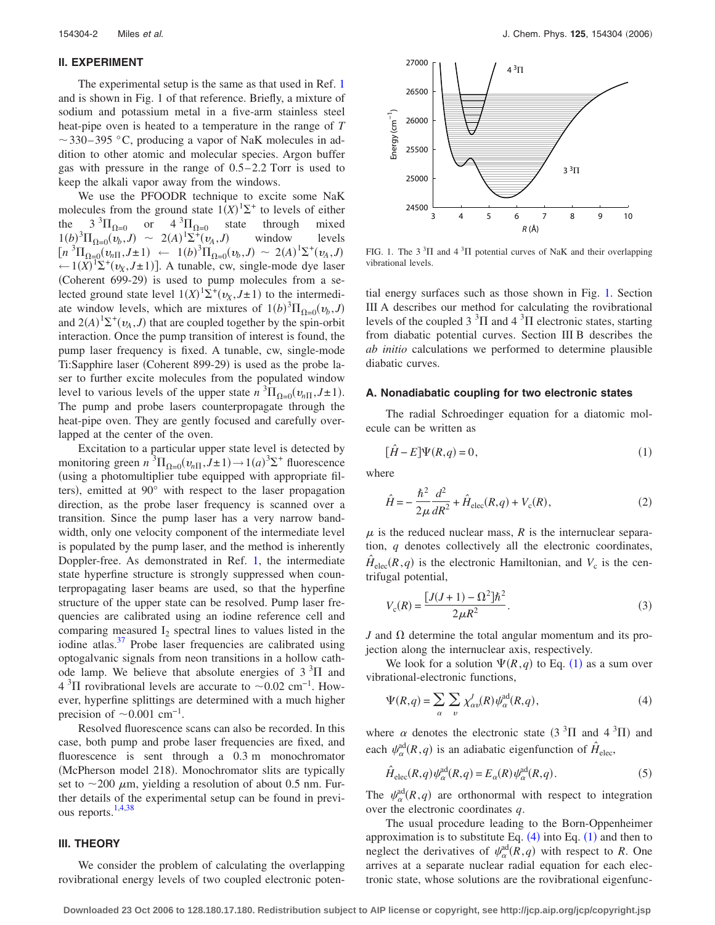#### **II. EXPERIMENT**

The experimental setup is the same as that used in Ref. [1](#page-10-0) and is shown in Fig. 1 of that reference. Briefly, a mixture of sodium and potassium metal in a five-arm stainless steel heat-pipe oven is heated to a temperature in the range of *T*  $\sim$  330–395 °C, producing a vapor of NaK molecules in addition to other atomic and molecular species. Argon buffer gas with pressure in the range of  $0.5-2.2$  Torr is used to keep the alkali vapor away from the windows.

We use the PFOODR technique to excite some NaK molecules from the ground state  $1(X)^{1} \Sigma^{+}$  to levels of either the  $3^{3}\Pi_{\Omega=0}$  or  $4^{3}$ state through mixed<br> $I$ ) window levels  $1(b)^3 \Pi_{\Omega=0}(\nu_b, J) \sim 2(A)^1 \Sigma^+ (\nu_A, J)$ window  $[n \ {}^{3}\Pi_{\Omega=0}^{-} (v_{n\Pi}, J \pm 1) \leftarrow 1(b) \ {}^{3}\Pi_{\Omega=0}^{-} (v_{b}, J) \sim 2(A) \ {}^{1}\Sigma^{+} (v_{A}, J)$  $\leftarrow$  1(*X*)<sup> $1\sum$ +(*v<sub>X</sub>*,*J*±1)]. A tunable, cw, single-mode dye laser</sup> (Coherent 699-29) is used to pump molecules from a selected ground state level  $1(X)^{1} \Sigma^{+} (v_X, J \pm 1)$  to the intermediate window levels, which are mixtures of  $1(b)^3 \Pi_{\Omega=0}(v_b, J)$ and  $2(A)^{1} \Sigma^{+}(\nu_{A}, J)$  that are coupled together by the spin-orbit interaction. Once the pump transition of interest is found, the pump laser frequency is fixed. A tunable, cw, single-mode Ti:Sapphire laser (Coherent 899-29) is used as the probe laser to further excite molecules from the populated window level to various levels of the upper state  $n \binom{3}{10}$ ,  $\left(\frac{v_{n}}{1}, J \pm 1\right)$ . The pump and probe lasers counterpropagate through the heat-pipe oven. They are gently focused and carefully overlapped at the center of the oven.

Excitation to a particular upper state level is detected by monitoring green  $n^3\Pi_{\Omega=0}(v_{n\Pi}, J\pm 1) \rightarrow 1(a)^3\Sigma^+$  fluorescence using a photomultiplier tube equipped with appropriate filters), emitted at 90° with respect to the laser propagation direction, as the probe laser frequency is scanned over a transition. Since the pump laser has a very narrow bandwidth, only one velocity component of the intermediate level is populated by the pump laser, and the method is inherently Doppler-free. As demonstrated in Ref. [1,](#page-10-0) the intermediate state hyperfine structure is strongly suppressed when counterpropagating laser beams are used, so that the hyperfine structure of the upper state can be resolved. Pump laser frequencies are calibrated using an iodine reference cell and comparing measured  $I_2$  spectral lines to values listed in the iodine atlas. $37$  Probe laser frequencies are calibrated using optogalvanic signals from neon transitions in a hollow cathode lamp. We believe that absolute energies of  $3<sup>3</sup>\Pi$  and  $4 \text{ }^{3}\Pi$  rovibrational levels are accurate to  $\sim 0.02 \text{ cm}^{-1}$ . However, hyperfine splittings are determined with a much higher precision of  $\sim$ 0.001 cm<sup>-1</sup>.

Resolved fluorescence scans can also be recorded. In this case, both pump and probe laser frequencies are fixed, and fluorescence is sent through a 0.3 m monochromator (McPherson model 218). Monochromator slits are typically set to  $\sim$  200  $\mu$ m, yielding a resolution of about 0.5 nm. Further details of the experimental setup can be found in previous reports. $1,4,38$  $1,4,38$  $1,4,38$ 

# **III. THEORY**

We consider the problem of calculating the overlapping rovibrational energy levels of two coupled electronic poten-

<span id="page-1-0"></span>

FIG. 1. The  $3<sup>3</sup>$ II and  $4<sup>3</sup>$ II potential curves of NaK and their overlapping vibrational levels.

tial energy surfaces such as those shown in Fig. [1.](#page-1-0) Section III A describes our method for calculating the rovibrational levels of the coupled  $3<sup>3</sup>\Pi$  and  $4<sup>3</sup>\Pi$  electronic states, starting from diabatic potential curves. Section III B describes the *ab initio* calculations we performed to determine plausible diabatic curves.

# **A. Nonadiabatic coupling for two electronic states**

<span id="page-1-1"></span>The radial Schroedinger equation for a diatomic molecule can be written as

$$
[\hat{H} - E]\Psi(R, q) = 0,\t\t(1)
$$

where

$$
\hat{H} = -\frac{\hbar^2}{2\mu} \frac{d^2}{dR^2} + \hat{H}_{\text{elec}}(R, q) + V_c(R),\tag{2}
$$

 $\mu$  is the reduced nuclear mass,  $R$  is the internuclear separation, *q* denotes collectively all the electronic coordinates,  $\hat{H}_{elec}(R,q)$  is the electronic Hamiltonian, and  $V_c$  is the centrifugal potential,

$$
V_{\rm c}(R) = \frac{[J(J+1) - \Omega^2] \hbar^2}{2\mu R^2}.
$$
 (3)

 $J$  and  $\Omega$  determine the total angular momentum and its projection along the internuclear axis, respectively.

We look for a solution  $\Psi(R,q)$  to Eq. ([1](#page-1-1)) as a sum over vibrational-electronic functions,

<span id="page-1-2"></span>
$$
\Psi(R,q) = \sum_{\alpha} \sum_{\nu} \chi_{\alpha\nu}^J(R) \psi_{\alpha}^{\text{ad}}(R,q), \tag{4}
$$

where  $\alpha$  denotes the electronic state  $(3^3\Pi$  and  $(4^3\Pi)$  and each  $\psi_{\alpha}^{\text{ad}}(R,q)$  is an adiabatic eigenfunction of  $\hat{H}_{\text{elec}}$ ,

$$
\hat{H}_{\text{elec}}(R,q)\psi^{\text{ad}}_{\alpha}(R,q) = E_{\alpha}(R)\psi^{\text{ad}}_{\alpha}(R,q). \tag{5}
$$

The  $\psi_{\alpha}^{\text{ad}}(R,q)$  are orthonormal with respect to integration over the electronic coordinates *q*.

The usual procedure leading to the Born-Oppenheimer approximation is to substitute Eq.  $(4)$  $(4)$  $(4)$  into Eq.  $(1)$  $(1)$  $(1)$  and then to neglect the derivatives of  $\psi_{\alpha}^{\text{ad}}(R,q)$  with respect to *R*. One arrives at a separate nuclear radial equation for each electronic state, whose solutions are the rovibrational eigenfunc-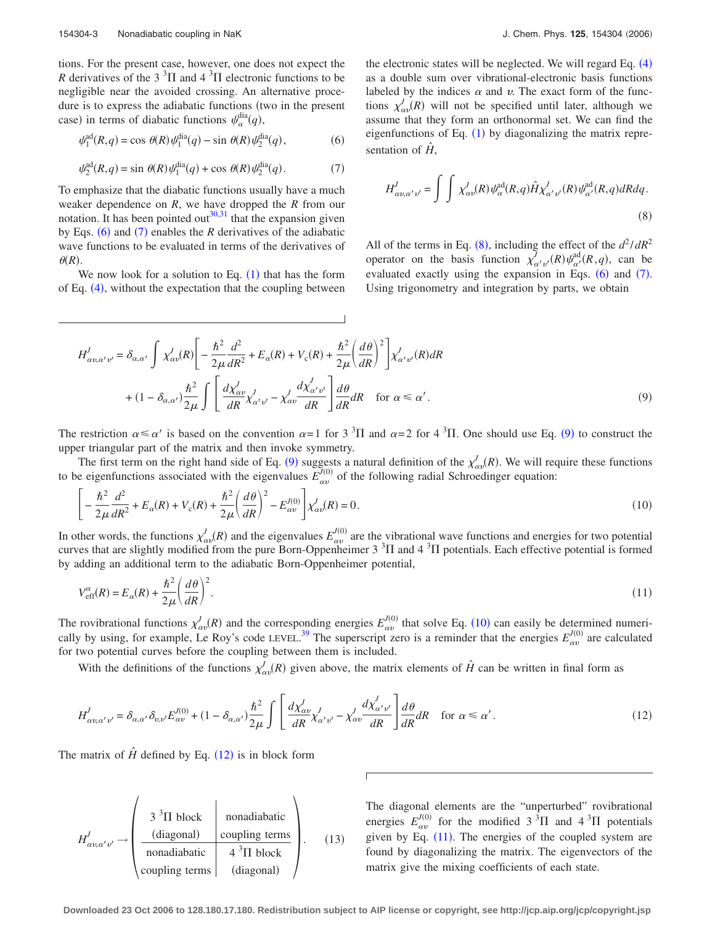<span id="page-2-0"></span>
$$
\psi_1^{\text{ad}}(R,q) = \cos \theta(R)\psi_1^{\text{dia}}(q) - \sin \theta(R)\psi_2^{\text{dia}}(q),\tag{6}
$$

<span id="page-2-1"></span>
$$
\psi_2^{\text{ad}}(R,q) = \sin \theta(R)\psi_1^{\text{dia}}(q) + \cos \theta(R)\psi_2^{\text{dia}}(q). \tag{7}
$$

To emphasize that the diabatic functions usually have a much weaker dependence on *R*, we have dropped the *R* from our notation. It has been pointed out<sup>30[,31](#page-10-6)</sup> that the expansion given by Eqs.  $(6)$  $(6)$  $(6)$  and  $(7)$  $(7)$  $(7)$  enables the *R* derivatives of the adiabatic wave functions to be evaluated in terms of the derivatives of  $\theta(R)$ .

We now look for a solution to Eq.  $(1)$  $(1)$  $(1)$  that has the form of Eq. ([4](#page-1-2)), without the expectation that the coupling between

the electronic states will be neglected. We will regard Eq. ([4](#page-1-2)) as a double sum over vibrational-electronic basis functions labeled by the indices  $\alpha$  and  $\nu$ . The exact form of the functions  $\chi^J_{\alpha\nu}(R)$  will not be specified until later, although we assume that they form an orthonormal set. We can find the eigenfunctions of Eq.  $(1)$  $(1)$  $(1)$  by diagonalizing the matrix representation of  $\hat{H}$ ,

<span id="page-2-2"></span>
$$
H^{J}_{\alpha v,\alpha' v'} = \int \int \chi^{J}_{\alpha v}(R) \psi^{\text{ad}}_{\alpha}(R,q) \hat{H} \chi^{J}_{\alpha' v'}(R) \psi^{\text{ad}}_{\alpha'}(R,q) dRdq. \tag{8}
$$

All of the terms in Eq. ([8](#page-2-2)), including the effect of the  $d^2/dR^2$ operator on the basis function  $\chi^{\bar{J}}_{\alpha' \nu'}(R) \psi^{\text{ad}}_{\alpha'}(R,q)$ , can be evaluated exactly using the expansion in Eqs.  $(6)$  $(6)$  $(6)$  and  $(7)$  $(7)$  $(7)$ . Using trigonometry and integration by parts, we obtain

$$
H'_{\alpha v, \alpha' v'} = \delta_{\alpha, \alpha'} \int \chi'_{\alpha v}(R) \left[ -\frac{\hbar^2}{2\mu} \frac{d^2}{dR^2} + E_{\alpha}(R) + V_c(R) + \frac{\hbar^2}{2\mu} \left(\frac{d\theta}{dR}\right)^2 \right] \chi'_{\alpha' v'}(R) dR
$$
  
+ 
$$
(1 - \delta_{\alpha, \alpha'}) \frac{\hbar^2}{2\mu} \int \left[ \frac{d\chi'_{\alpha v}}{dR} \chi'_{\alpha' v'} - \chi'_{\alpha v} \frac{d\chi'_{\alpha' v'}}{dR} \right] \frac{d\theta}{dR} dR \quad \text{for } \alpha \leq \alpha'.
$$
 (9)

The restriction  $\alpha \le \alpha'$  is based on the convention  $\alpha = 1$  for 3<sup>3</sup>H and  $\alpha = 2$  for 4<sup>3</sup>H. One should use Eq. ([9](#page-2-2)) to construct the upper triangular part of the matrix and then invoke symmetry.

The first term on the right hand side of Eq. ([9](#page-2-2)) suggests a natural definition of the  $\chi^J_{\alpha\nu}(R)$ . We will require these functions to be eigenfunctions associated with the eigenvalues  $E_{av}^{(0)}$  of the following radial Schroedinger equation:

<span id="page-2-3"></span>
$$
\left[ -\frac{\hbar^2}{2\mu} \frac{d^2}{dR^2} + E_{\alpha}(R) + V_{\rm c}(R) + \frac{\hbar^2}{2\mu} \left( \frac{d\theta}{dR} \right)^2 - E_{\alpha\nu}^{J(0)} \right] \chi_{\alpha\nu}^J(R) = 0. \tag{10}
$$

In other words, the functions  $\chi^J_{\alpha\nu}(R)$  and the eigenvalues  $E^{J(0)}_{\alpha\nu}$  are the vibrational wave functions and energies for two potential curves that are slightly modified from the pure Born-Oppenheimer  $3<sup>3</sup>\Pi$  and  $4<sup>3</sup>\Pi$  potentials. Each effective potential is formed by adding an additional term to the adiabatic Born-Oppenheimer potential,

<span id="page-2-5"></span>
$$
V_{\text{eff}}^{\alpha}(R) = E_{\alpha}(R) + \frac{\hbar^2}{2\mu} \left(\frac{d\theta}{dR}\right)^2.
$$
\n(11)

The rovibrational functions  $\chi^J_{\alpha\nu}(R)$  and the corresponding energies  $E^{J(0)}_{\alpha\nu}$  that solve Eq. ([10](#page-2-3)) can easily be determined numeri-cally by using, for example, Le Roy's code LEVEL.<sup>[39](#page-10-14)</sup> The superscript zero is a reminder that the energies  $E_{av}^{J(0)}$  are calculated for two potential curves before the coupling between them is included.

With the definitions of the functions  $\chi^J_{\alpha\nu}(R)$  given above, the matrix elements of  $\hat{H}$  can be written in final form as

<span id="page-2-4"></span>
$$
H_{\alpha v, \alpha' v'}^J = \delta_{\alpha, \alpha'} \delta_{v, v'} E_{\alpha v}^{J(0)} + (1 - \delta_{\alpha, \alpha'}) \frac{\hbar^2}{2\mu} \int \left[ \frac{d\chi_{\alpha v}^J}{dR} \chi_{\alpha' v'}^J - \chi_{\alpha v}^J \frac{d\chi_{\alpha' v'}^J}{dR} \right] \frac{d\theta}{dR} dR \quad \text{for } \alpha \le \alpha'.
$$
 (12)

The matrix of  $\hat{H}$  defined by Eq. ([12](#page-2-4)) is in block form

$$
H'_{\alpha\nu,\alpha'\nu'} \rightarrow \begin{pmatrix} 3^{3}\Pi \text{ block} & \text{nonadiabatic} \\ \frac{(\text{diagonal})}{\text{nonadiabatic}} & \frac{\text{coupling terms}}{4^{3}\Pi \text{ block}} \\ \text{coupling terms} & \text{(diagonal)} \end{pmatrix}.
$$
 (13)

The diagonal elements are the "unperturbed" rovibrational energies  $E_{\alpha\nu}^{J(0)}$  for the modified 3<sup>3</sup>II and 4<sup>3</sup>II potentials given by Eq.  $(11)$  $(11)$  $(11)$ . The energies of the coupled system are found by diagonalizing the matrix. The eigenvectors of the matrix give the mixing coefficients of each state.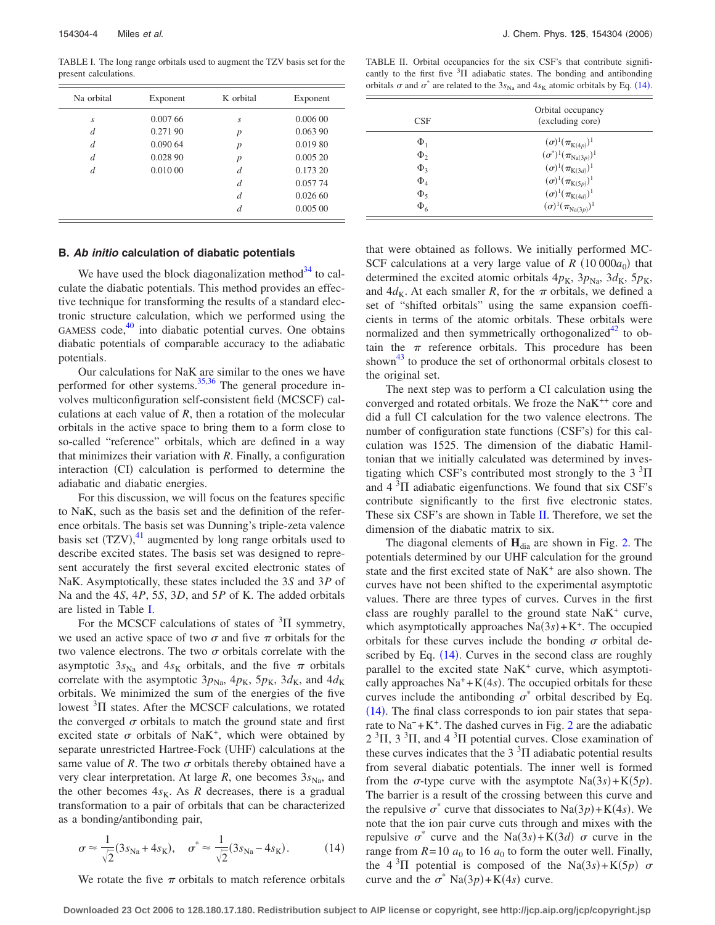<span id="page-3-0"></span>TABLE I. The long range orbitals used to augment the TZV basis set for the present calculations.

| Na orbital     | Exponent | K orbital        | Exponent |
|----------------|----------|------------------|----------|
| S              | 0.00766  | S.               | 0.00600  |
| d              | 0.271 90 | $\boldsymbol{p}$ | 0.063 90 |
| $\overline{d}$ | 0.09064  | $\boldsymbol{p}$ | 0.019 80 |
| $\overline{d}$ | 0.028 90 | $\boldsymbol{p}$ | 0.00520  |
| d              | 0.01000  | d                | 0.173 20 |
|                |          | d                | 0.057 74 |
|                |          | d                | 0.02660  |
|                |          | d                | 0.00500  |
|                |          |                  |          |

# **B.** *Ab initio* **calculation of diabatic potentials**

We have used the block diagonalization method<sup>34</sup> to calculate the diabatic potentials. This method provides an effective technique for transforming the results of a standard electronic structure calculation, which we performed using the GAMESS code, $40$  into diabatic potential curves. One obtains diabatic potentials of comparable accuracy to the adiabatic potentials.

Our calculations for NaK are similar to the ones we have performed for other systems. $35,36$  $35,36$  The general procedure involves multiconfiguration self-consistent field (MCSCF) calculations at each value of *R*, then a rotation of the molecular orbitals in the active space to bring them to a form close to so-called "reference" orbitals, which are defined in a way that minimizes their variation with *R*. Finally, a configuration interaction (CI) calculation is performed to determine the adiabatic and diabatic energies.

For this discussion, we will focus on the features specific to NaK, such as the basis set and the definition of the reference orbitals. The basis set was Dunning's triple-zeta valence basis set  $(TZV)$ ,<sup>[41](#page-10-16)</sup> augmented by long range orbitals used to describe excited states. The basis set was designed to represent accurately the first several excited electronic states of NaK. Asymptotically, these states included the 3*S* and 3*P* of Na and the 4*S*, 4*P*, 5*S*, 3*D*, and 5*P* of K. The added orbitals are listed in Table [I.](#page-3-0)

For the MCSCF calculations of states of  ${}^{3}$ II symmetry, we used an active space of two  $\sigma$  and five  $\pi$  orbitals for the two valence electrons. The two  $\sigma$  orbitals correlate with the asymptotic  $3s_{\text{Na}}$  and  $4s_{\text{K}}$  orbitals, and the five  $\pi$  orbitals correlate with the asymptotic  $3p_{\text{Na}}$ ,  $4p_{\text{K}}$ ,  $5p_{\text{K}}$ ,  $3d_{\text{K}}$ , and  $4d_{\text{K}}$ orbitals. We minimized the sum of the energies of the five lowest  ${}^{3}\Pi$  states. After the MCSCF calculations, we rotated the converged  $\sigma$  orbitals to match the ground state and first excited state  $\sigma$  orbitals of NaK<sup>+</sup>, which were obtained by separate unrestricted Hartree-Fock (UHF) calculations at the same value of  $R$ . The two  $\sigma$  orbitals thereby obtained have a very clear interpretation. At large  $R$ , one becomes  $3s_{Na}$ , and the other becomes  $4s<sub>K</sub>$ . As *R* decreases, there is a gradual transformation to a pair of orbitals that can be characterized as a bonding/antibonding pair,

<span id="page-3-2"></span>
$$
\sigma \approx \frac{1}{\sqrt{2}} (3s_{\text{Na}} + 4s_{\text{K}}), \quad \sigma^* \approx \frac{1}{\sqrt{2}} (3s_{\text{Na}} - 4s_{\text{K}}). \tag{14}
$$

We rotate the five  $\pi$  orbitals to match reference orbitals

<span id="page-3-1"></span>TABLE II. Orbital occupancies for the six CSF's that contribute significantly to the first five  ${}^{3}$ H adiabatic states. The bonding and antibonding orbitals  $\sigma$  and  $\sigma^*$  are related to the 3s<sub>Na</sub> and 4s<sub>K</sub> atomic orbitals by Eq. ([14](#page-3-2)).

| CSE                 | Orbital occupancy<br>(excluding core) |
|---------------------|---------------------------------------|
| $\Phi_1$            | $(\sigma)^1(\pi_{{\rm K}(4p)})^1$     |
| $\Phi_2$            | $(\sigma^*)^1(\pi_{\text{Na}(3p)})^1$ |
| $\Phi$ <sub>3</sub> | $(\sigma)^1(\pi_{K(3d)})^1$           |
| $\Phi_4$            | $(\sigma)^1(\pi_{{\rm K}(5p)})^1$     |
| $\Phi_{\varsigma}$  | $(\sigma)^1(\pi_{K(4d)})^1$           |
| $\Phi_6$            | $(\sigma)^1(\pi_{\text{Na}(3p)})^1$   |

that were obtained as follows. We initially performed MC-SCF calculations at a very large value of  $R(10000a_0)$  that determined the excited atomic orbitals  $4p_K$ ,  $3p_{Na}$ ,  $3d_K$ ,  $5p_K$ , and  $4d_K$ . At each smaller *R*, for the  $\pi$  orbitals, we defined a set of "shifted orbitals" using the same expansion coefficients in terms of the atomic orbitals. These orbitals were normalized and then symmetrically orthogonalized<sup>42</sup> to obtain the  $\pi$  reference orbitals. This procedure has been shown $43$  to produce the set of orthonormal orbitals closest to the original set.

The next step was to perform a CI calculation using the converged and rotated orbitals. We froze the NaK++ core and did a full CI calculation for the two valence electrons. The number of configuration state functions (CSF's) for this calculation was 1525. The dimension of the diabatic Hamiltonian that we initially calculated was determined by investigating which CSF's contributed most strongly to the  $3 \text{ }^{3}\text{H}$ and  $4 \, \mathrm{^{3} \Pi}$  adiabatic eigenfunctions. We found that six CSF's contribute significantly to the first five electronic states. These six CSF's are shown in Table [II.](#page-3-1) Therefore, we set the dimension of the diabatic matrix to six.

The diagonal elements of  $H_{dia}$  are shown in Fig. [2.](#page-4-0) The potentials determined by our UHF calculation for the ground state and the first excited state of NaK<sup>+</sup> are also shown. The curves have not been shifted to the experimental asymptotic values. There are three types of curves. Curves in the first class are roughly parallel to the ground state  $N a K<sup>+</sup>$  curve, which asymptotically approaches  $Na(3s) + K^{+}$ . The occupied orbitals for these curves include the bonding  $\sigma$  orbital described by Eq.  $(14)$  $(14)$  $(14)$ . Curves in the second class are roughly parallel to the excited state NaK<sup>+</sup> curve, which asymptotically approaches  $Na^+ + K(4s)$ . The occupied orbitals for these curves include the antibonding  $\sigma^*$  orbital described by Eq. ([14](#page-3-2)). The final class corresponds to ion pair states that sepa-rate to Na<sup>−</sup> + K<sup>+</sup>. The dashed curves in Fig. [2](#page-4-0) are the adiabatic  $2 \text{ }^{3}\Pi$ ,  $3 \text{ }^{3}\Pi$ , and  $4 \text{ }^{3}\Pi$  potential curves. Close examination of these curves indicates that the  $3<sup>3</sup>$ II adiabatic potential results from several diabatic potentials. The inner well is formed from the  $\sigma$ -type curve with the asymptote Na(3s)+K(5p). The barrier is a result of the crossing between this curve and the repulsive  $\sigma^*$  curve that dissociates to  $\text{Na}(3p) + \text{K}(4s)$ . We note that the ion pair curve cuts through and mixes with the repulsive  $\sigma^*$  curve and the Na(3*s*)+K(3*d*)  $\sigma$  curve in the range from  $R = 10$   $a_0$  to 16  $a_0$  to form the outer well. Finally, the  $4 \text{ }^{3}\Pi$  potential is composed of the Na(3s)+K(5p)  $\sigma$ curve and the  $\sigma^*$  Na(3*p*)+K(4*s*) curve.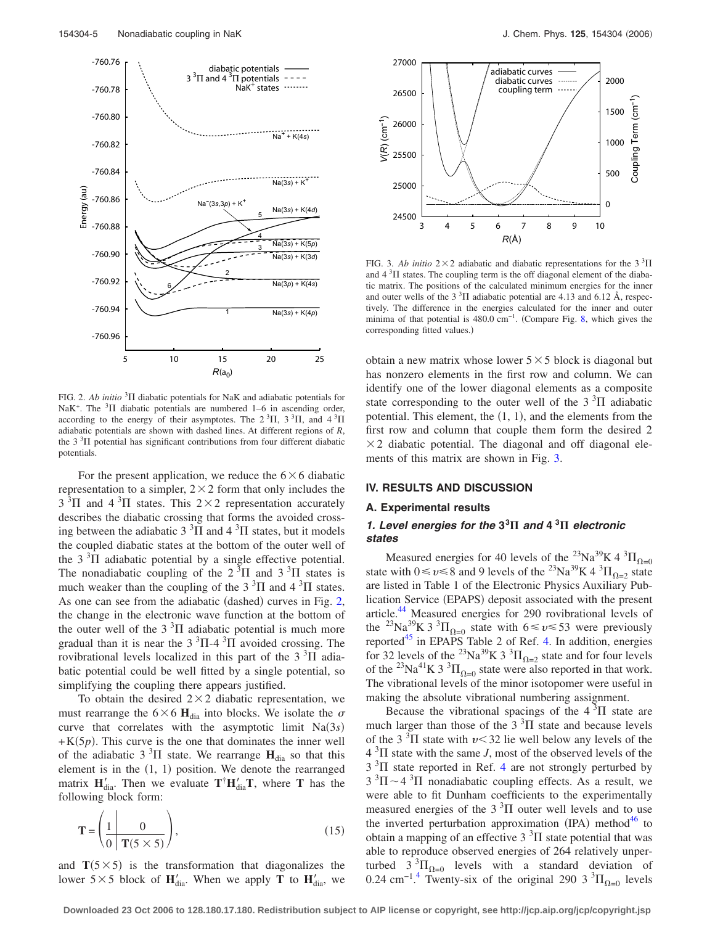<span id="page-4-0"></span>

FIG. 2. Ab initio<sup>3</sup> $\Pi$  diabatic potentials for NaK and adiabatic potentials for NaK<sup>+</sup>. The <sup>3</sup> $\Pi$  diabatic potentials are numbered 1–6 in ascending order, according to the energy of their asymptotes. The  $2\,{}^{3}\Pi$ ,  $3\,{}^{3}\Pi$ , and  $4\,{}^{3}\Pi$ adiabatic potentials are shown with dashed lines. At different regions of *R*, the  $3<sup>3</sup>$ II potential has significant contributions from four different diabatic potentials.

For the present application, we reduce the  $6 \times 6$  diabatic representation to a simpler,  $2 \times 2$  form that only includes the  $3<sup>3</sup>\Pi$  and  $4<sup>3</sup>\Pi$  states. This  $2 \times 2$  representation accurately describes the diabatic crossing that forms the avoided crossing between the adiabatic  $3<sup>3</sup>\Pi$  and  $4<sup>3</sup>\Pi$  states, but it models the coupled diabatic states at the bottom of the outer well of the  $3<sup>3</sup>$ II adiabatic potential by a single effective potential. The nonadiabatic coupling of the  $2<sup>3</sup>\Pi$  and  $3<sup>3</sup>\Pi$  states is much weaker than the coupling of the  $3<sup>3</sup>\Pi$  and  $4<sup>3</sup>\Pi$  states. As one can see from the adiabatic (dashed) curves in Fig. [2,](#page-4-0) the change in the electronic wave function at the bottom of the outer well of the  $3<sup>3</sup>\Pi$  adiabatic potential is much more gradual than it is near the  $3 \times 3\Pi$ -4  $\times$  avoided crossing. The rovibrational levels localized in this part of the  $3<sup>3</sup>\Pi$  adiabatic potential could be well fitted by a single potential, so simplifying the coupling there appears justified.

To obtain the desired  $2 \times 2$  diabatic representation, we must rearrange the  $6 \times 6$  H<sub>dia</sub> into blocks. We isolate the  $\sigma$ curve that correlates with the asymptotic limit  $Na(3s)$  $+K(5p)$ . This curve is the one that dominates the inner well of the adiabatic  $3 \text{ }^{3}\Pi$  state. We rearrange  $H_{\text{dia}}$  so that this element is in the  $(1, 1)$  position. We denote the rearranged matrix  $\mathbf{H}'_{di}$ . Then we evaluate  $\mathbf{T}^{\dagger} \mathbf{H}'_{di} \mathbf{T}$ , where **T** has the following block form:

$$
\mathbf{T} = \left(\frac{1}{0} \left| \frac{0}{\mathbf{T}(5 \times 5)} \right| \right),\tag{15}
$$

and  $T(5 \times 5)$  is the transformation that diagonalizes the lower  $5 \times 5$  block of  $H'_{diab}$ . When we apply **T** to  $H'_{diab}$ , we

<span id="page-4-1"></span>

FIG. 3. Ab initio  $2 \times 2$  adiabatic and diabatic representations for the 3<sup>3</sup>II and  $4<sup>3</sup>\Pi$  states. The coupling term is the off diagonal element of the diabatic matrix. The positions of the calculated minimum energies for the inner and outer wells of the  $3<sup>3</sup>\Pi$  adiabatic potential are 4.13 and 6.12 Å, respectively. The difference in the energies calculated for the inner and outer minima of that potential is 480.0 cm<sup>-1</sup>. (Compare Fig. [8,](#page-8-0) which gives the corresponding fitted values.)

obtain a new matrix whose lower  $5 \times 5$  block is diagonal but has nonzero elements in the first row and column. We can identify one of the lower diagonal elements as a composite state corresponding to the outer well of the  $3<sup>3</sup>$ II adiabatic potential. This element, the  $(1, 1)$ , and the elements from the first row and column that couple them form the desired 2  $\times$  2 diabatic potential. The diagonal and off diagonal elements of this matrix are shown in Fig. [3.](#page-4-1)

## **IV. RESULTS AND DISCUSSION**

#### **A. Experimental results**

# *1. Level energies for the* **3<sup>3</sup>** *and* **4 <sup>3</sup>** *electronic states*

Measured energies for 40 levels of the <sup>23</sup>Na<sup>39</sup>K 4<sup>3</sup> $\Pi_{\Omega=0}$ state with  $0 \le v \le 8$  and 9 levels of the <sup>23</sup>Na<sup>39</sup>K 4 <sup>3</sup> $\Pi_{\Omega=2}$  state are listed in Table 1 of the Electronic Physics Auxiliary Publication Service (EPAPS) deposit associated with the present article.<sup>44</sup> Measured energies for 290 rovibrational levels of the <sup>23</sup>Na<sub>3</sub><sup>39</sup>K 3<sup>3</sup> $\Pi_{\Omega=0}$  state with 6  $\leq v \leq 53$  were previously reported $45$  in EPAPS Table 2 of Ref. [4.](#page-10-2) In addition, energies for 32 levels of the <sup>23</sup>Na<sup>39</sup>K 3<sup>3</sup> $\Pi_{\Omega=2}$  state and for four levels of the <sup>23</sup>Na<sup>41</sup>K 3<sup>3</sup> $\Pi_{\Omega=0}$  state were also reported in that work. The vibrational levels of the minor isotopomer were useful in making the absolute vibrational numbering assignment.

Because the vibrational spacings of the  $4\,{}^{3}\Pi$  state are much larger than those of the  $3<sup>3</sup>\Pi$  state and because levels of the 3<sup>3</sup>II state with  $\nu$  < 32 lie well below any levels of the  $4 \frac{3}{11}$  state with the same *J*, most of the observed levels of the  $3<sup>3</sup>$ II state reported in Ref. [4](#page-10-2) are not strongly perturbed by  $3 \text{ }^{3}\Pi \sim 4 \text{ }^{3}\Pi$  nonadiabatic coupling effects. As a result, we were able to fit Dunham coefficients to the experimentally measured energies of the  $3<sup>3</sup>$ II outer well levels and to use the inverted perturbation approximation  $(IPA)$  method<sup>46</sup> to obtain a mapping of an effective  $3<sup>3</sup>$ II state potential that was able to reproduce observed energies of 264 relatively unperturbed  $3^{3}\Pi_{\Omega=0}$  levels with a standard deviation of 0.2[4](#page-10-2) cm<sup>-1.4</sup> Twenty-six of the original 290 3<sup>3</sup> $\Pi_{\Omega=0}$  levels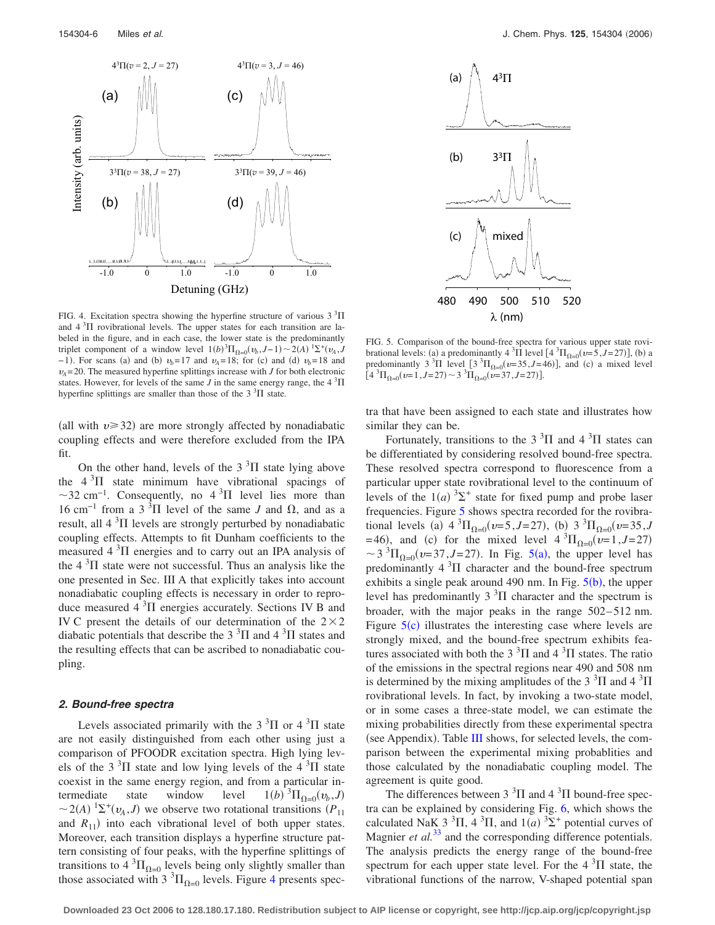<span id="page-5-0"></span>

FIG. 4. Excitation spectra showing the hyperfine structure of various  $3<sup>3</sup>\Pi$ and  $4\text{ }^{3}\Pi$  rovibrational levels. The upper states for each transition are labeled in the figure, and in each case, the lower state is the predominantly triplet component of a window level  $1(b)^3 \Pi_{\Omega=0}(v_b, J-1) \sim 2(A)^{1} \Sigma^+(v_A, J-1)$  $-1$ ). For scans (a) and (b)  $v_b = 17$  and  $v_A = 18$ ; for (c) and (d)  $v_b = 18$  and  $v_A$ = 20. The measured hyperfine splittings increase with *J* for both electronic states. However, for levels of the same *J* in the same energy range, the  $4 \frac{3}{11}$ hyperfine splittings are smaller than those of the  $3<sup>3</sup>\Pi$  state.

(all with  $v \ge 32$ ) are more strongly affected by nonadiabatic coupling effects and were therefore excluded from the IPA fit.

On the other hand, levels of the  $3<sup>3</sup>\Pi$  state lying above the  $4 \, \mathrm{^{3} \Pi}$  state minimum have vibrational spacings of  $\sim$ 32 cm<sup>-1</sup>. Consequently, no 4<sup>3</sup> $\Pi$  level lies more than 16 cm<sup>-1</sup> from a 3<sup>3</sup>Π level of the same *J* and  $\Omega$ , and as a result, all  $4 \, \mathrm{^{3} \Pi}$  levels are strongly perturbed by nonadiabatic coupling effects. Attempts to fit Dunham coefficients to the measured  $4 \, \mathrm{^{3} \Pi}$  energies and to carry out an IPA analysis of the  $4 \, \mathrm{^{3} \Pi}$  state were not successful. Thus an analysis like the one presented in Sec. III A that explicitly takes into account nonadiabatic coupling effects is necessary in order to reproduce measured  $4 \, \mathrm{^{3} \Pi}$  energies accurately. Sections IV B and IV C present the details of our determination of the  $2\times 2$ diabatic potentials that describe the 3<sup>3</sup> $\Pi$  and 4<sup>3</sup> $\Pi$  states and the resulting effects that can be ascribed to nonadiabatic coupling.

#### *2. Bound-free spectra*

Levels associated primarily with the  $3<sup>3</sup>\Pi$  or  $4<sup>3</sup>\Pi$  state are not easily distinguished from each other using just a comparison of PFOODR excitation spectra. High lying levels of the  $3<sup>3</sup>\Pi$  state and low lying levels of the  $4<sup>3</sup>\Pi$  state coexist in the same energy region, and from a particular intermediate state window level  $^{3}\Pi_{\Omega=0}(v_{b},J)$  $\sim$  2(*A*) <sup>1</sup> $\Sigma$ <sup>+</sup>( $v_A$ ,*J*) we observe two rotational transitions (*P*<sub>11</sub>) and  $R_{11}$ ) into each vibrational level of both upper states. Moreover, each transition displays a hyperfine structure pattern consisting of four peaks, with the hyperfine splittings of transitions to  $4 \text{ }^{3}\Pi_{\Omega=0}$  levels being only slightly smaller than those associated with  $3 \text{ }^{3}\Pi_{\Omega=0}$  levels. Figure [4](#page-5-0) presents spec-

<span id="page-5-1"></span>

FIG. 5. Comparison of the bound-free spectra for various upper state rovibrational levels: (a) a predominantly  $4 \text{ }^{3} \Pi$  level  $[4 \text{ }^{3} \Pi_{\Omega=0}(v=5, J=27)]$ , (b) a predominantly  $3^{3}\Pi$  level  $[3^{3}\Pi_{\Omega=0}(v=35, J=46)]$ , and (c) a mixed level  $[4^{3}\Pi_{\Omega=0}(v=1, J=27) \sim 3^{3}\Pi_{\Omega=0}(v=37, J=27)].$ 

tra that have been assigned to each state and illustrates how similar they can be.

Fortunately, transitions to the  $3<sup>3</sup>\Pi$  and  $4<sup>3</sup>\Pi$  states can be differentiated by considering resolved bound-free spectra. These resolved spectra correspond to fluorescence from a particular upper state rovibrational level to the continuum of levels of the  $1(a)$ <sup>3</sup> $\Sigma$ <sup>+</sup> state for fixed pump and probe laser frequencies. Figure [5](#page-5-1) shows spectra recorded for the rovibrational levels (a)  $4 \, {}^{3} \Pi_{\Omega=0}(v=5, J=27)$ , (b)  $3 \, {}^{3} \Pi_{\Omega=0}(v=35, J=5)$  $(46)$ , and (c) for the mixed level  $4 \, {}^{3} \Pi_{\Omega=0}$  ( $v=1, J=27$ )  $\sim$  3<sup>3</sup> $\Pi_{\Omega=0}$  (*v*=37,*J*=27). In Fig. [5](#page-5-1)(a), the upper level has predominantly  $4 \, \mathrm{^{3} \Pi}$  character and the bound-free spectrum exhibits a single peak around 490 nm. In Fig.  $5(b)$  $5(b)$ , the upper level has predominantly  $3<sup>3</sup>$ II character and the spectrum is broader, with the major peaks in the range 502– 512 nm. Figure  $5(c)$  $5(c)$  illustrates the interesting case where levels are strongly mixed, and the bound-free spectrum exhibits features associated with both the 3<sup>3</sup> $\Pi$  and 4<sup>3</sup> $\Pi$  states. The ratio of the emissions in the spectral regions near 490 and 508 nm is determined by the mixing amplitudes of the  $3<sup>3</sup>\Pi$  and  $4<sup>3</sup>\Pi$ rovibrational levels. In fact, by invoking a two-state model, or in some cases a three-state model, we can estimate the mixing probabilities directly from these experimental spectra (see Appendix). Table [III](#page-6-0) shows, for selected levels, the comparison between the experimental mixing probablities and those calculated by the nonadiabatic coupling model. The agreement is quite good.

The differences between  $3<sup>3</sup>\Pi$  and  $4<sup>3</sup>\Pi$  bound-free spectra can be explained by considering Fig. [6,](#page-6-1) which shows the calculated NaK 3<sup>3</sup>II, 4<sup>3</sup>II, and  $1(a)$ <sup>3</sup> $\Sigma$ <sup>+</sup> potential curves of Magnier *et al.*<sup>[33](#page-10-8)</sup> and the corresponding difference potentials. The analysis predicts the energy range of the bound-free spectrum for each upper state level. For the  $4\,{}^{3}\Pi$  state, the vibrational functions of the narrow, V-shaped potential span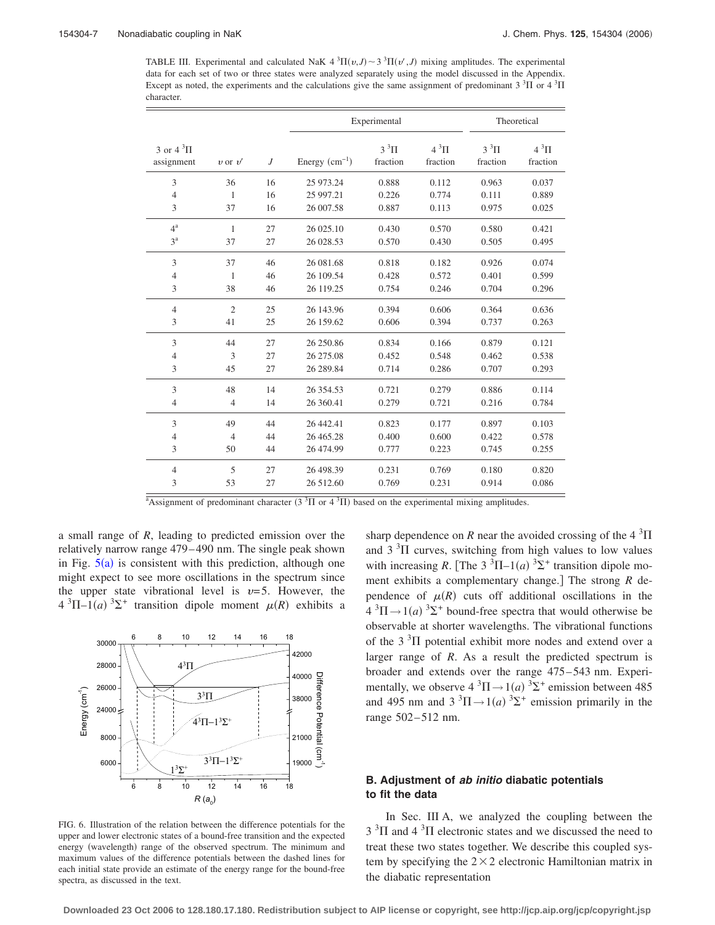<span id="page-6-0"></span>TABLE III. Experimental and calculated NaK  $4 \cdot {}^{3}\Pi(v, J) \sim 3 \cdot {}^{3}\Pi(v', J)$  mixing amplitudes. The experimental data for each set of two or three states were analyzed separately using the model discussed in the Appendix. Except as noted, the experiments and the calculations give the same assignment of predominant  $3\,{}^{3}\Pi$  or  $4\,{}^{3}\Pi$ character.

|                                    |                |    | Experimental    |                      | Theoretical                |                      |                            |
|------------------------------------|----------------|----|-----------------|----------------------|----------------------------|----------------------|----------------------------|
| 3 or $4 \times 3\Pi$<br>assignment | $v$ or $v'$    | J  | Energy $(cm-1)$ | $3^3\Pi$<br>fraction | $4~^{3}$ $\Pi$<br>fraction | $3^3\Pi$<br>fraction | $4~^{3}$ $\Pi$<br>fraction |
| 3                                  | 36             | 16 | 25 973.24       | 0.888                | 0.112                      | 0.963                | 0.037                      |
| $\overline{4}$                     | 1              | 16 | 25 997.21       | 0.226                | 0.774                      | 0.111                | 0.889                      |
| 3                                  | 37             | 16 | 26 007.58       | 0.887                | 0.113                      | 0.975                | 0.025                      |
| $4^{\mathrm{a}}$                   | $\mathbf{1}$   | 27 | 26 025.10       | 0.430                | 0.570                      | 0.580                | 0.421                      |
| $3^a$                              | 37             | 27 | 26 028.53       | 0.570                | 0.430                      | 0.505                | 0.495                      |
| 3                                  | 37             | 46 | 26 081.68       | 0.818                | 0.182                      | 0.926                | 0.074                      |
| $\overline{4}$                     | 1              | 46 | 26 109.54       | 0.428                | 0.572                      | 0.401                | 0.599                      |
| 3                                  | 38             | 46 | 26 119.25       | 0.754                | 0.246                      | 0.704                | 0.296                      |
| $\overline{4}$                     | $\overline{c}$ | 25 | 26 143.96       | 0.394                | 0.606                      | 0.364                | 0.636                      |
| 3                                  | 41             | 25 | 26 159.62       | 0.606                | 0.394                      | 0.737                | 0.263                      |
| 3                                  | 44             | 27 | 26 250.86       | 0.834                | 0.166                      | 0.879                | 0.121                      |
| $\overline{4}$                     | 3              | 27 | 26 275.08       | 0.452                | 0.548                      | 0.462                | 0.538                      |
| 3                                  | 45             | 27 | 26 289.84       | 0.714                | 0.286                      | 0.707                | 0.293                      |
| 3                                  | 48             | 14 | 26 354.53       | 0.721                | 0.279                      | 0.886                | 0.114                      |
| $\overline{4}$                     | $\overline{4}$ | 14 | 26 360.41       | 0.279                | 0.721                      | 0.216                | 0.784                      |
| 3                                  | 49             | 44 | 26 442.41       | 0.823                | 0.177                      | 0.897                | 0.103                      |
| $\overline{4}$                     | $\overline{4}$ | 44 | 26 465.28       | 0.400                | 0.600                      | 0.422                | 0.578                      |
| 3                                  | 50             | 44 | 26 474.99       | 0.777                | 0.223                      | 0.745                | 0.255                      |
| $\overline{4}$                     | 5              | 27 | 26 498.39       | 0.231                | 0.769                      | 0.180                | 0.820                      |
| 3                                  | 53             | 27 | 26 512.60       | 0.769                | 0.231                      | 0.914                | 0.086                      |

<sup>a</sup>Assignment of predominant character (3<sup>3</sup> $\Pi$  or 4<sup>3</sup> $\Pi$ ) based on the experimental mixing amplitudes.

a small range of *R*, leading to predicted emission over the relatively narrow range 479– 490 nm. The single peak shown in Fig.  $5(a)$  $5(a)$  is consistent with this prediction, although one might expect to see more oscillations in the spectrum since the upper state vibrational level is  $v=5$ . However, the  $4 \text{ }^{3}\Pi-1(a) \text{ }^{3}\Sigma^{+}$  transition dipole moment  $\mu(R)$  exhibits a

<span id="page-6-1"></span>

FIG. 6. Illustration of the relation between the difference potentials for the upper and lower electronic states of a bound-free transition and the expected energy (wavelength) range of the observed spectrum. The minimum and maximum values of the difference potentials between the dashed lines for each initial state provide an estimate of the energy range for the bound-free spectra, as discussed in the text.

sharp dependence on *R* near the avoided crossing of the  $4 \frac{3}{11}$ and  $3<sup>3</sup>\Pi$  curves, switching from high values to low values with increasing *R*. [The 3<sup>3</sup> $\Pi$ -1(*a*)<sup>3</sup> $\Sigma$ <sup>+</sup> transition dipole moment exhibits a complementary change.] The strong *R* dependence of  $\mu(R)$  cuts off additional oscillations in the  $4 \text{ }^{3}\Pi \rightarrow 1(a) \text{ }^{3}\Sigma^{+}$  bound-free spectra that would otherwise be observable at shorter wavelengths. The vibrational functions of the  $3<sup>3</sup>\Pi$  potential exhibit more nodes and extend over a larger range of *R*. As a result the predicted spectrum is broader and extends over the range 475– 543 nm. Experimentally, we observe  $4 \text{ }^3\Pi \rightarrow 1$  (*a*)  $^3\Sigma^+$  emission between 485 and 495 nm and  $3 \times 3\text{H} \rightarrow 1$  *(a)*  $3\text{H}$  emission primarily in the range 502-512 nm.

# **B. Adjustment of** *ab initio* **diabatic potentials to fit the data**

In Sec. III A, we analyzed the coupling between the  $3<sup>3</sup>$ II and  $4<sup>3</sup>$ II electronic states and we discussed the need to treat these two states together. We describe this coupled system by specifying the  $2 \times 2$  electronic Hamiltonian matrix in the diabatic representation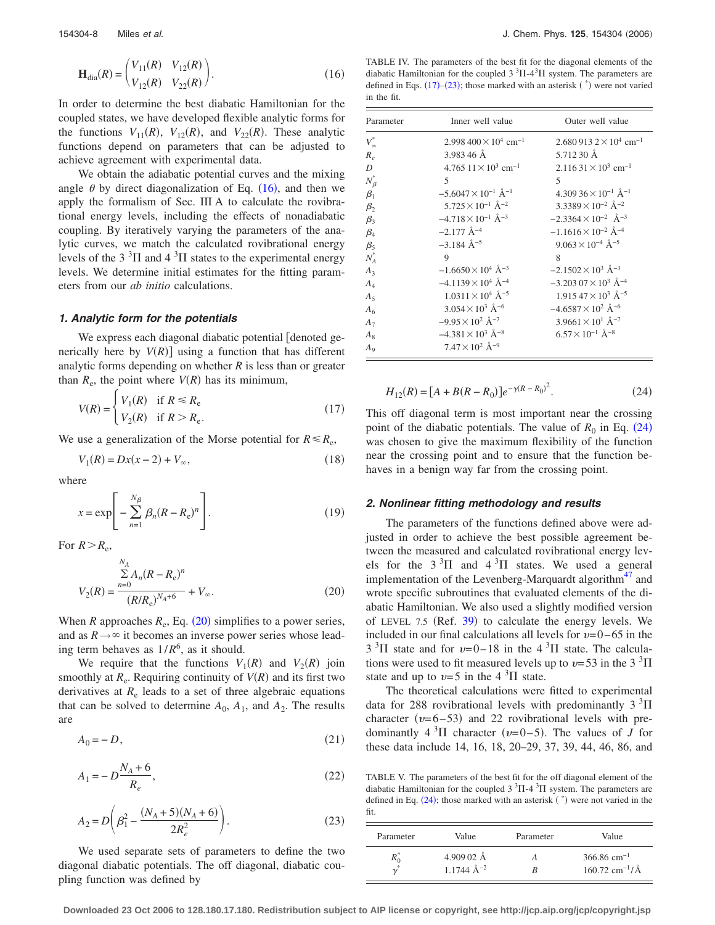<span id="page-7-0"></span>
$$
\mathbf{H}_{\text{dia}}(R) = \begin{pmatrix} V_{11}(R) & V_{12}(R) \\ V_{12}(R) & V_{22}(R) \end{pmatrix}.
$$
 (16)

In order to determine the best diabatic Hamiltonian for the coupled states, we have developed flexible analytic forms for the functions  $V_{11}(R)$ ,  $V_{12}(R)$ , and  $V_{22}(R)$ . These analytic functions depend on parameters that can be adjusted to achieve agreement with experimental data.

We obtain the adiabatic potential curves and the mixing angle  $\theta$  by direct diagonalization of Eq. ([16](#page-7-0)), and then we apply the formalism of Sec. III A to calculate the rovibrational energy levels, including the effects of nonadiabatic coupling. By iteratively varying the parameters of the analytic curves, we match the calculated rovibrational energy levels of the 3<sup>3</sup> $\Pi$  and 4<sup>3</sup> $\Pi$  states to the experimental energy levels. We determine initial estimates for the fitting parameters from our *ab initio* calculations.

## *1. Analytic form for the potentials*

We express each diagonal diabatic potential [denoted generically here by  $V(R)$ ] using a function that has different analytic forms depending on whether *R* is less than or greater than  $R_e$ , the point where  $V(R)$  has its minimum,

<span id="page-7-3"></span>
$$
V(R) = \begin{cases} V_1(R) & \text{if } R \le R_e \\ V_2(R) & \text{if } R > R_e. \end{cases}
$$
 (17)

We use a generalization of the Morse potential for  $R \le R_e$ ,

$$
V_1(R) = Dx(x - 2) + V_{\infty},
$$
\n(18)

where

$$
x = \exp\left[-\sum_{n=1}^{N_{\beta}} \beta_n (R - R_{\rm e})^n\right].
$$
 (19)

<span id="page-7-1"></span>For  $R > R_e$ ,

$$
V_2(R) = \frac{\sum_{n=0}^{N_A} A_n (R - R_e)^n}{(R/R_e)^{N_A + 6}} + V_{\infty}.
$$
 (20)

When  $R$  approaches  $R_e$ , Eq. ([20](#page-7-1)) simplifies to a power series, and as  $R \rightarrow \infty$  it becomes an inverse power series whose leading term behaves as 1/*R*<sup>6</sup> , as it should.

We require that the functions  $V_1(R)$  and  $V_2(R)$  join smoothly at  $R_e$ . Requiring continuity of  $V(R)$  and its first two derivatives at  $R_e$  leads to a set of three algebraic equations that can be solved to determine  $A_0$ ,  $A_1$ , and  $A_2$ . The results are

$$
A_0 = -D,\tag{21}
$$

$$
A_1 = -D\frac{N_A + 6}{R_e},\tag{22}
$$

<span id="page-7-4"></span>
$$
A_2 = D\left(\beta_1^2 - \frac{(N_A + 5)(N_A + 6)}{2R_e^2}\right).
$$
 (23)

We used separate sets of parameters to define the two diagonal diabatic potentials. The off diagonal, diabatic coupling function was defined by

<span id="page-7-5"></span>TABLE IV. The parameters of the best fit for the diagonal elements of the diabatic Hamiltonian for the coupled  $3<sup>3</sup> \Pi - 4<sup>3</sup> \Pi$  system. The parameters are defined in Eqs.  $(17)$  $(17)$  $(17)$ – $(23)$  $(23)$  $(23)$ ; those marked with an asterisk  $(*)$  were not varied in the fit.

| Parameter      | Inner well value                         | Outer well value                          |
|----------------|------------------------------------------|-------------------------------------------|
| $V^*_{\infty}$ | $2.998\,400\times10^4\ \mathrm{cm}^{-1}$ | $2.6809132\times10^{4}$ cm <sup>-1</sup>  |
| $R_e$          | 3.983 46 Å                               | 5.712 30 Å                                |
| D              | 4.765 $11 \times 10^3$ cm <sup>-1</sup>  | $2.11631 \times 10^{3}$ cm <sup>-1</sup>  |
| $N^*_{\beta}$  | 5                                        | 5                                         |
| $\beta_1$      | $-5.6047 \times 10^{-1}$ Å <sup>-1</sup> | $4.30936 \times 10^{-1}$ Å <sup>-1</sup>  |
| $\beta_2$      | $5.725 \times 10^{-1}$ Å <sup>-2</sup>   | $3.3389 \times 10^{-2}$ Å <sup>-2</sup>   |
| $\beta_3$      | $-4.718\times10^{-1}$ Å $^{-3}$          | $-2.3364 \times 10^{-2}$ $\rm{\AA}^{-3}$  |
| $\beta_4$      | $-2.177 \text{ Å}^{-4}$                  | $-1.1616 \times 10^{-2}$ Å <sup>-4</sup>  |
| $\beta_5$      | $-3.184$ Å <sup>-5</sup>                 | $9.063 \times 10^{-4}$ Å <sup>-5</sup>    |
| $N_A^*$        | 9                                        | 8                                         |
| $A_3$          | $-1.6650 \times 10^4$ Å <sup>-3</sup>    | $-2.1502 \times 10^3$ Å <sup>-3</sup>     |
| $A_4$          | $-4.1139 \times 10^4$ Å <sup>-4</sup>    | $-3.203\ 07 \times 10^3\ \text{\AA}^{-4}$ |
| $A_5$          | $1.0311\times10^4$ Å <sup>-5</sup>       | $1.915\,47\times10^3\ \text{\AA}^{-5}$    |
| A <sub>6</sub> | $3.054 \times 10^3$ Å <sup>-6</sup>      | $-4.6587 \times 10^2$ Å <sup>-6</sup>     |
| $A_7$          | $-9.95 \times 10^2$ Å <sup>-7</sup>      | $3.9661 \times 10^{1}$ Å <sup>-7</sup>    |
| $A_{8}$        | $-4.381 \times 10^3$ Å <sup>-8</sup>     | $6.57 \times 10^{-1}$ Å <sup>-8</sup>     |
| $A_9$          | $7.47 \times 10^2$ Å <sup>-9</sup>       |                                           |

<span id="page-7-2"></span>
$$
H_{12}(R) = [A + B(R - R_0)]e^{-\gamma(R - R_0)^2}.
$$
 (24)

This off diagonal term is most important near the crossing point of the diabatic potentials. The value of  $R_0$  in Eq. ([24](#page-7-2)) was chosen to give the maximum flexibility of the function near the crossing point and to ensure that the function behaves in a benign way far from the crossing point.

#### *2. Nonlinear fitting methodology and results*

The parameters of the functions defined above were adjusted in order to achieve the best possible agreement between the measured and calculated rovibrational energy levels for the  $3^3\Pi$  and  $4^3\Pi$  states. We used a general implementation of the Levenberg-Marquardt algorithm $47$  and wrote specific subroutines that evaluated elements of the diabatic Hamiltonian. We also used a slightly modified version of LEVEL 7.5 (Ref.  $39$ ) to calculate the energy levels. We included in our final calculations all levels for  $v=0-65$  in the  $3<sup>3</sup>\Pi$  state and for  $\nu=0-18$  in the 4<sup>3</sup> $\Pi$  state. The calculations were used to fit measured levels up to  $v=53$  in the 3  $^3\Pi$ state and up to  $v=5$  in the 4  $\mathrm{^{3}\Pi}$  state.

The theoretical calculations were fitted to experimental data for 288 rovibrational levels with predominantly  $3 \text{ }^{3}\text{H}$ character ( $v=6-53$ ) and 22 rovibrational levels with predominantly  $4 \times 3\Pi$  character ( $\nu=0-5$ ). The values of *J* for these data include 14, 16, 18, 20–29, 37, 39, 44, 46, 86, and

<span id="page-7-6"></span>TABLE V. The parameters of the best fit for the off diagonal element of the diabatic Hamiltonian for the coupled  $3 \times 3\text{H}$ -4  $\text{H}$  system. The parameters are defined in Eq.  $(24)$  $(24)$  $(24)$ ; those marked with an asterisk  $(*)$  were not varied in the fit.

| Parameter      | Value               | Parameter | Value                                 |
|----------------|---------------------|-----------|---------------------------------------|
| $\mathbf{u}_0$ | $4.90902 \text{ Å}$ |           | $366.86$ cm <sup>-1</sup>             |
| $\overline{v}$ | 1.1744 $\AA^{-2}$   |           | $160.72 \text{ cm}^{-1} / \text{\AA}$ |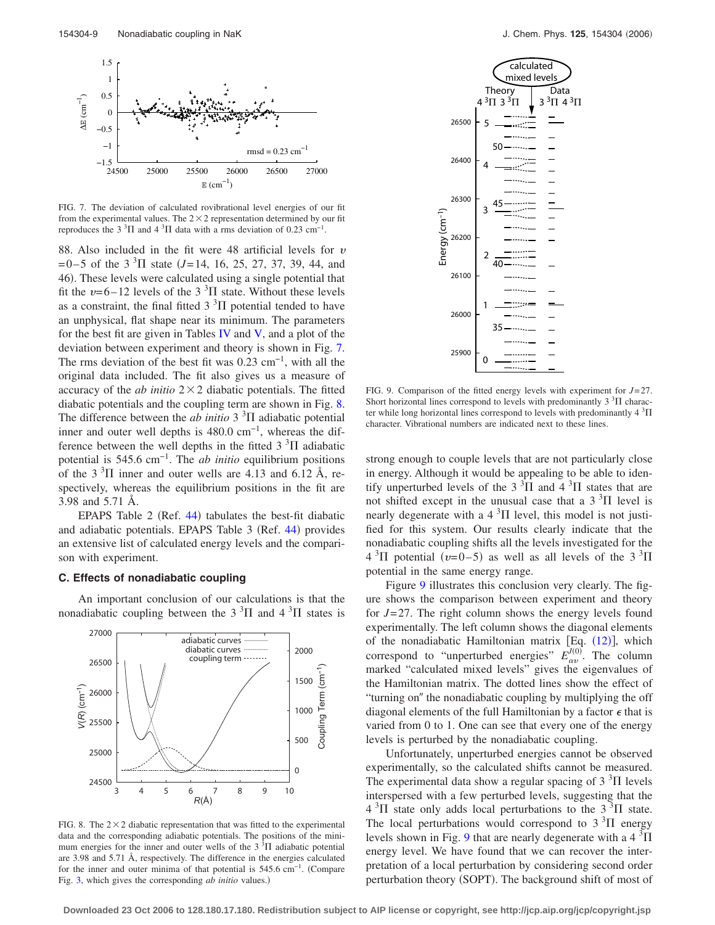<span id="page-8-1"></span>

FIG. 7. The deviation of calculated rovibrational level energies of our fit from the experimental values. The  $2 \times 2$  representation determined by our fit reproduces the  $3^3\Pi$  and  $4^3\Pi$  data with a rms deviation of 0.23 cm<sup>-1</sup>.

88. Also included in the fit were 48 artificial levels for  $v$  $= 0-5$  of the 3<sup>3</sup>II state (*J*=14, 16, 25, 27, 37, 39, 44, and 46). These levels were calculated using a single potential that fit the  $v=6-12$  levels of the 3<sup>3</sup>II state. Without these levels as a constraint, the final fitted  $3<sup>3</sup>$ II potential tended to have an unphysical, flat shape near its minimum. The parameters for the best fit are given in Tables [IV](#page-7-5) and  $V$ , and a plot of the deviation between experiment and theory is shown in Fig. [7.](#page-8-1) The rms deviation of the best fit was  $0.23 \text{ cm}^{-1}$ , with all the original data included. The fit also gives us a measure of accuracy of the  $ab$  initio  $2 \times 2$  diabatic potentials. The fitted diabatic potentials and the coupling term are shown in Fig. [8.](#page-8-0) The difference between the *ab initio*  $3<sup>3</sup>$ II adiabatic potential inner and outer well depths is 480.0 cm<sup>-1</sup>, whereas the difference between the well depths in the fitted  $3<sup>3</sup>$ II adiabatic potential is 545.6 cm−1. The *ab initio* equilibrium positions of the  $3<sup>3</sup>\Pi$  inner and outer wells are 4.13 and 6.12 Å, respectively, whereas the equilibrium positions in the fit are 3.98 and 5.71 Å.

EPAPS Table  $2$  (Ref. [44](#page-10-19)) tabulates the best-fit diabatic and adiabatic potentials. EPAPS Table 3 (Ref. [44](#page-10-19)) provides an extensive list of calculated energy levels and the comparison with experiment.

# **C. Effects of nonadiabatic coupling**

An important conclusion of our calculations is that the nonadiabatic coupling between the  $3<sup>3</sup>\Pi$  and  $4<sup>3</sup>\Pi$  states is

<span id="page-8-0"></span>

FIG. 8. The  $2 \times 2$  diabatic representation that was fitted to the experimental data and the corresponding adiabatic potentials. The positions of the minimum energies for the inner and outer wells of the  $3<sup>3</sup>\Pi$  adiabatic potential are 3.98 and 5.71 Å, respectively. The difference in the energies calculated for the inner and outer minima of that potential is 545.6 cm−1. Compare Fig. [3,](#page-4-1) which gives the corresponding *ab initio* values.)

<span id="page-8-2"></span>

FIG. 9. Comparison of the fitted energy levels with experiment for *J*= 27. Short horizontal lines correspond to levels with predominantly  $3<sup>3</sup>\Pi$  character while long horizontal lines correspond to levels with predominantly  $4 \frac{3}{11}$ character. Vibrational numbers are indicated next to these lines.

strong enough to couple levels that are not particularly close in energy. Although it would be appealing to be able to identify unperturbed levels of the  $3<sup>3</sup>\Pi$  and  $4<sup>3</sup>\Pi$  states that are not shifted except in the unusual case that a  $3<sup>3</sup>$ II level is nearly degenerate with a  $4 \, \mathrm{^{3} \Pi}$  level, this model is not justified for this system. Our results clearly indicate that the nonadiabatic coupling shifts all the levels investigated for the  $4 \text{ }^{3}\Pi$  potential ( $\nu$ =0–5) as well as all levels of the 3<sup>3</sup> $\Pi$ potential in the same energy range.

Figure [9](#page-8-2) illustrates this conclusion very clearly. The figure shows the comparison between experiment and theory for *J*= 27. The right column shows the energy levels found experimentally. The left column shows the diagonal elements of the nonadiabatic Hamiltonian matrix [Eq.  $(12)$  $(12)$  $(12)$ ], which correspond to "unperturbed energies"  $E_{\alpha v}^{J(0)}$ . The column marked "calculated mixed levels" gives the eigenvalues of the Hamiltonian matrix. The dotted lines show the effect of "turning on" the nonadiabatic coupling by multiplying the off diagonal elements of the full Hamiltonian by a factor  $\epsilon$  that is varied from 0 to 1. One can see that every one of the energy levels is perturbed by the nonadiabatic coupling.

Unfortunately, unperturbed energies cannot be observed experimentally, so the calculated shifts cannot be measured. The experimental data show a regular spacing of  $3<sup>3</sup>\Pi$  levels interspersed with a few perturbed levels, suggesting that the  $4 \text{ }^{3}\Pi$  state only adds local perturbations to the  $3 \text{ }^{3}\Pi$  state. The local perturbations would correspond to  $3<sup>3</sup>$ II energy levels shown in Fig. [9](#page-8-2) that are nearly degenerate with a  $4 \frac{3}{11}$ energy level. We have found that we can recover the interpretation of a local perturbation by considering second order perturbation theory (SOPT). The background shift of most of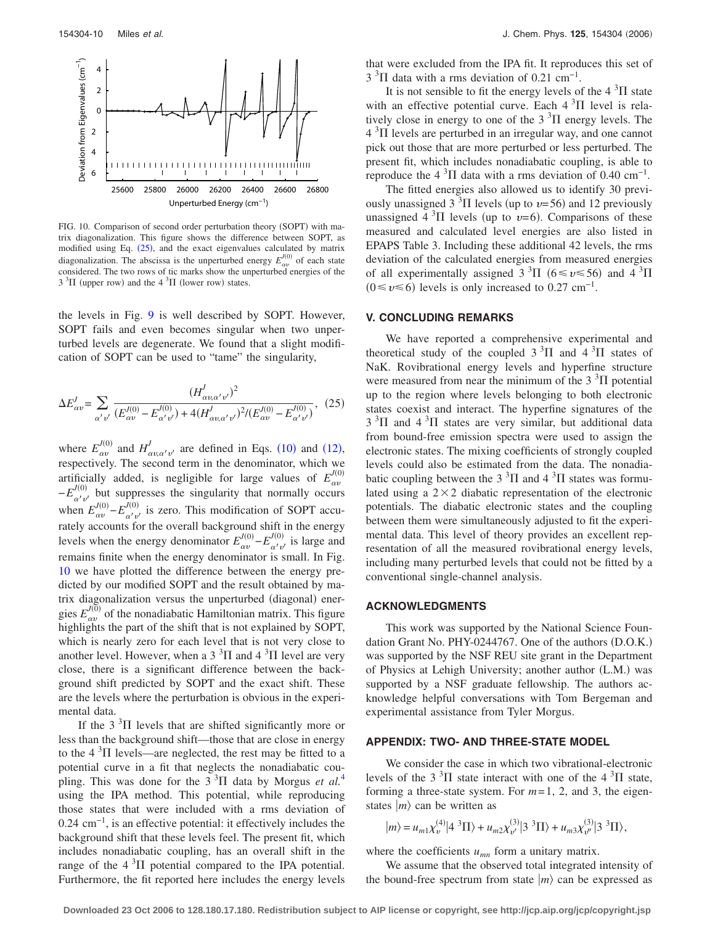<span id="page-9-0"></span>

FIG. 10. Comparison of second order perturbation theory (SOPT) with matrix diagonalization. This figure shows the difference between SOPT, as modified using Eq. ([25](#page-9-1)), and the exact eigenvalues calculated by matrix diagonalization. The abscissa is the unperturbed energy  $E_{\alpha\nu}^{J(0)}$  of each state considered. The two rows of tic marks show the unperturbed energies of the  $3<sup>3</sup>\Pi$  (upper row) and the  $4<sup>3</sup>\Pi$  (lower row) states.

the levels in Fig. [9](#page-8-2) is well described by SOPT. However, SOPT fails and even becomes singular when two unperturbed levels are degenerate. We found that a slight modification of SOPT can be used to "tame" the singularity,

<span id="page-9-1"></span>
$$
\Delta E_{\alpha v}^{J} = \sum_{\alpha' v'} \frac{(H_{\alpha v, \alpha' v'}^{J})^2}{(E_{\alpha v}^{J(0)} - E_{\alpha' v'}^{J(0)}) + 4(H_{\alpha v, \alpha' v'}^{J})^2 / (E_{\alpha v}^{J(0)} - E_{\alpha' v'}^{J(0)})},
$$
(25)

where  $E_{\alpha\nu}^{J(0)}$  and  $H_{\alpha\nu,\alpha'\nu'}^{J}$  are defined in Eqs. ([10](#page-2-3)) and ([12](#page-2-4)), respectively. The second term in the denominator, which we artificially added, is negligible for large values of  $E_{av}^{J(0)}$  $-E_{\alpha' \nu'}^{(0)}$  but suppresses the singularity that normally occurs when  $E_{\alpha\nu}^{J(0)} - E_{\alpha'\nu'}^{J(0)}$  is zero. This modification of SOPT accurately accounts for the overall background shift in the energy levels when the energy denominator  $E_{\alpha\nu}^{J(0)} - E_{\alpha'\nu'}^{J(0)}$  is large and remains finite when the energy denominator is small. In Fig. [10](#page-9-0) we have plotted the difference between the energy predicted by our modified SOPT and the result obtained by matrix diagonalization versus the unperturbed (diagonal) energies  $E_{\alpha\nu}^{J(0)}$  of the nonadiabatic Hamiltonian matrix. This figure highlights the part of the shift that is not explained by SOPT, which is nearly zero for each level that is not very close to another level. However, when a 3<sup>3</sup> $\Pi$  and 4<sup>3</sup> $\Pi$  level are very close, there is a significant difference between the background shift predicted by SOPT and the exact shift. These are the levels where the perturbation is obvious in the experimental data.

If the  $3<sup>3</sup>$ II levels that are shifted significantly more or less than the background shift—those that are close in energy to the  $4 \, \mathrm{^{3}\Pi}$  levels—are neglected, the rest may be fitted to a potential curve in a fit that neglects the nonadiabatic coupling. This was done for the  $3<sup>3</sup>$ II data by Morgus *et al.*<sup>[4](#page-10-2)</sup> using the IPA method. This potential, while reproducing those states that were included with a rms deviation of 0.24 cm−1, is an effective potential: it effectively includes the background shift that these levels feel. The present fit, which includes nonadiabatic coupling, has an overall shift in the range of the  $4 \times 3\Pi$  potential compared to the IPA potential. Furthermore, the fit reported here includes the energy levels that were excluded from the IPA fit. It reproduces this set of  $3 \text{ }^{3}\Pi$  data with a rms deviation of 0.21 cm<sup>-1</sup>.

It is not sensible to fit the energy levels of the  $4<sup>3</sup>\Pi$  state with an effective potential curve. Each  $4 \text{ }^{3} \Pi$  level is relatively close in energy to one of the  $3<sup>3</sup>\Pi$  energy levels. The  $4 \sqrt[3]{11}$  levels are perturbed in an irregular way, and one cannot pick out those that are more perturbed or less perturbed. The present fit, which includes nonadiabatic coupling, is able to reproduce the  $4 \text{ }^{3}\Pi$  data with a rms deviation of 0.40 cm<sup>-1</sup>.

The fitted energies also allowed us to identify 30 previously unassigned 3  $\rm{^{3}H}$  levels (up to  $v=56$ ) and 12 previously unassigned  $4 \text{ }^{3}\Pi$  levels (up to  $\nu=6$ ). Comparisons of these measured and calculated level energies are also listed in EPAPS Table 3. Including these additional 42 levels, the rms deviation of the calculated energies from measured energies of all experimentally assigned  $3 \text{ }^3\Pi$  (6  $\leq v \leq 56$ ) and  $4 \text{ }^3\Pi$  $(0 \le v \le 6)$  levels is only increased to 0.27 cm<sup>-1</sup>.

#### **V. CONCLUDING REMARKS**

We have reported a comprehensive experimental and theoretical study of the coupled  $3<sup>3</sup>\Pi$  and  $4<sup>3</sup>\Pi$  states of NaK. Rovibrational energy levels and hyperfine structure were measured from near the minimum of the  $3<sup>3</sup>\Pi$  potential up to the region where levels belonging to both electronic states coexist and interact. The hyperfine signatures of the  $3<sup>3</sup>\Pi$  and  $4<sup>3</sup>\Pi$  states are very similar, but additional data from bound-free emission spectra were used to assign the electronic states. The mixing coefficients of strongly coupled levels could also be estimated from the data. The nonadiabatic coupling between the 3<sup>3</sup> $\Pi$  and 4<sup>3</sup> $\Pi$  states was formulated using a  $2 \times 2$  diabatic representation of the electronic potentials. The diabatic electronic states and the coupling between them were simultaneously adjusted to fit the experimental data. This level of theory provides an excellent representation of all the measured rovibrational energy levels, including many perturbed levels that could not be fitted by a conventional single-channel analysis.

#### **ACKNOWLEDGMENTS**

This work was supported by the National Science Foundation Grant No. PHY-0244767. One of the authors (D.O.K.) was supported by the NSF REU site grant in the Department of Physics at Lehigh University; another author (L.M.) was supported by a NSF graduate fellowship. The authors acknowledge helpful conversations with Tom Bergeman and experimental assistance from Tyler Morgus.

#### **APPENDIX: TWO- AND THREE-STATE MODEL**

We consider the case in which two vibrational-electronic levels of the 3<sup>3</sup> $\Pi$  state interact with one of the 4<sup>3</sup> $\Pi$  state, forming a three-state system. For *m*= 1, 2, and 3, the eigenstates  $|m\rangle$  can be written as

$$
|m\rangle = u_{m1}\chi_{\nu}^{(4)}|4^{3}\Pi\rangle + u_{m2}\chi_{\nu'}^{(3)}|3^{3}\Pi\rangle + u_{m3}\chi_{\nu'}^{(3)}|3^{3}\Pi\rangle,
$$

where the coefficients  $u_{mn}$  form a unitary matrix.

We assume that the observed total integrated intensity of the bound-free spectrum from state  $|m\rangle$  can be expressed as